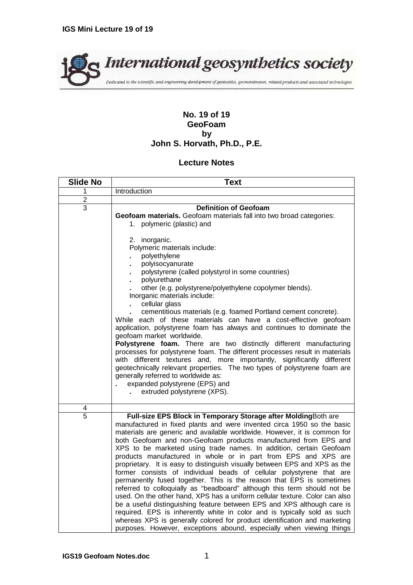

## **No. 19 of 19 GeoFoam by John S. Horvath, Ph.D., P.E.**

## **Lecture Notes**

| <b>Slide No</b> | <b>Text</b>                                                                                                                                                                                                                                                                                                                                                                                                                                                                                                                                                                                                                                                                                                                                                                                                                                                                                                                                                                                                                                                        |
|-----------------|--------------------------------------------------------------------------------------------------------------------------------------------------------------------------------------------------------------------------------------------------------------------------------------------------------------------------------------------------------------------------------------------------------------------------------------------------------------------------------------------------------------------------------------------------------------------------------------------------------------------------------------------------------------------------------------------------------------------------------------------------------------------------------------------------------------------------------------------------------------------------------------------------------------------------------------------------------------------------------------------------------------------------------------------------------------------|
| 1               | Introduction                                                                                                                                                                                                                                                                                                                                                                                                                                                                                                                                                                                                                                                                                                                                                                                                                                                                                                                                                                                                                                                       |
| $\overline{2}$  |                                                                                                                                                                                                                                                                                                                                                                                                                                                                                                                                                                                                                                                                                                                                                                                                                                                                                                                                                                                                                                                                    |
| 3               | <b>Definition of Geofoam</b><br>Geofoam materials. Geofoam materials fall into two broad categories:<br>1. polymeric (plastic) and                                                                                                                                                                                                                                                                                                                                                                                                                                                                                                                                                                                                                                                                                                                                                                                                                                                                                                                                 |
|                 | 2. inorganic.<br>Polymeric materials include:<br>polyethylene<br>polyisocyanurate<br>polystyrene (called polystyrol in some countries)<br>polyurethane<br>other (e.g. polystyrene/polyethylene copolymer blends).<br>Inorganic materials include:                                                                                                                                                                                                                                                                                                                                                                                                                                                                                                                                                                                                                                                                                                                                                                                                                  |
|                 | cellular glass<br>cementitious materials (e.g. foamed Portland cement concrete).<br>While each of these materials can have a cost-effective geofoam<br>application, polystyrene foam has always and continues to dominate the<br>geofoam market worldwide.<br>Polystyrene foam. There are two distinctly different manufacturing<br>processes for polystyrene foam. The different processes result in materials<br>with different textures and, more importantly, significantly different<br>geotechnically relevant properties. The two types of polystyrene foam are<br>generally referred to worldwide as:<br>expanded polystyrene (EPS) and<br>extruded polystyrene (XPS).                                                                                                                                                                                                                                                                                                                                                                                     |
| 4<br>5          | Full-size EPS Block in Temporary Storage after MoldingBoth are                                                                                                                                                                                                                                                                                                                                                                                                                                                                                                                                                                                                                                                                                                                                                                                                                                                                                                                                                                                                     |
|                 | manufactured in fixed plants and were invented circa 1950 so the basic<br>materials are generic and available worldwide. However, it is common for<br>both Geofoam and non-Geofoam products manufactured from EPS and<br>XPS to be marketed using trade names. In addition, certain Geofoam<br>products manufactured in whole or in part from EPS and XPS are<br>proprietary. It is easy to distinguish visually between EPS and XPS as the<br>former consists of individual beads of cellular polystyrene that are<br>permanently fused together. This is the reason that EPS is sometimes<br>referred to colloquially as "beadboard" although this term should not be<br>used. On the other hand, XPS has a uniform cellular texture. Color can also<br>be a useful distinguishing feature between EPS and XPS although care is<br>required. EPS is inherently white in color and is typically sold as such<br>whereas XPS is generally colored for product identification and marketing<br>purposes. However, exceptions abound, especially when viewing things |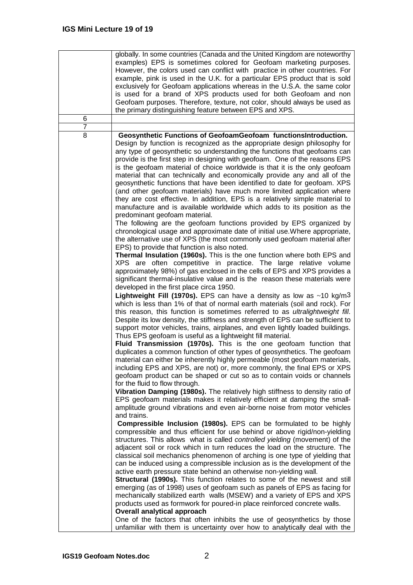|        | globally. In some countries (Canada and the United Kingdom are noteworthy<br>examples) EPS is sometimes colored for Geofoam marketing purposes.<br>However, the colors used can conflict with practice in other countries. For<br>example, pink is used in the U.K. for a particular EPS product that is sold<br>exclusively for Geofoam applications whereas in the U.S.A. the same color<br>is used for a brand of XPS products used for both Geofoam and non<br>Geofoam purposes. Therefore, texture, not color, should always be used as<br>the primary distinguishing feature between EPS and XPS.                                                                                                                                                                                                                                                                                                                                                                                                                                                                                                                                                                                                                                                                                                                                                                                                                                                                                                                                                                                                                                                                                                                                                                                                                                                                                                                                                                                                                                                                                                                                                                                                                                                                                                                                                                                                                                                                                                                                                                                                                                                                                                                                                                                                                                                                                                                                                                                                                                                                                                                                                                                                                                                                                                                                                                                                                                                                                                                                                                                                                                                                                                            |
|--------|--------------------------------------------------------------------------------------------------------------------------------------------------------------------------------------------------------------------------------------------------------------------------------------------------------------------------------------------------------------------------------------------------------------------------------------------------------------------------------------------------------------------------------------------------------------------------------------------------------------------------------------------------------------------------------------------------------------------------------------------------------------------------------------------------------------------------------------------------------------------------------------------------------------------------------------------------------------------------------------------------------------------------------------------------------------------------------------------------------------------------------------------------------------------------------------------------------------------------------------------------------------------------------------------------------------------------------------------------------------------------------------------------------------------------------------------------------------------------------------------------------------------------------------------------------------------------------------------------------------------------------------------------------------------------------------------------------------------------------------------------------------------------------------------------------------------------------------------------------------------------------------------------------------------------------------------------------------------------------------------------------------------------------------------------------------------------------------------------------------------------------------------------------------------------------------------------------------------------------------------------------------------------------------------------------------------------------------------------------------------------------------------------------------------------------------------------------------------------------------------------------------------------------------------------------------------------------------------------------------------------------------------------------------------------------------------------------------------------------------------------------------------------------------------------------------------------------------------------------------------------------------------------------------------------------------------------------------------------------------------------------------------------------------------------------------------------------------------------------------------------------------------------------------------------------------------------------------------------------------------------------------------------------------------------------------------------------------------------------------------------------------------------------------------------------------------------------------------------------------------------------------------------------------------------------------------------------------------------------------------------------------------------------------------------------------------------------------------|
| 6      |                                                                                                                                                                                                                                                                                                                                                                                                                                                                                                                                                                                                                                                                                                                                                                                                                                                                                                                                                                                                                                                                                                                                                                                                                                                                                                                                                                                                                                                                                                                                                                                                                                                                                                                                                                                                                                                                                                                                                                                                                                                                                                                                                                                                                                                                                                                                                                                                                                                                                                                                                                                                                                                                                                                                                                                                                                                                                                                                                                                                                                                                                                                                                                                                                                                                                                                                                                                                                                                                                                                                                                                                                                                                                                                    |
| 7<br>8 | Geosynthetic Functions of GeofoamGeofoam functionsIntroduction.<br>Design by function is recognized as the appropriate design philosophy for<br>any type of geosynthetic so understanding the functions that geofoams can<br>provide is the first step in designing with geofoam. One of the reasons EPS<br>is the geofoam material of choice worldwide is that it is the only geofoam<br>material that can technically and economically provide any and all of the<br>geosynthetic functions that have been identified to date for geofoam. XPS<br>(and other geofoam materials) have much more limited application where<br>they are cost effective. In addition, EPS is a relatively simple material to<br>manufacture and is available worldwide which adds to its position as the<br>predominant geofoam material.<br>The following are the geofoam functions provided by EPS organized by<br>chronological usage and approximate date of initial use. Where appropriate,<br>the alternative use of XPS (the most commonly used geofoam material after<br>EPS) to provide that function is also noted.<br>Thermal Insulation (1960s). This is the one function where both EPS and<br>XPS are often competitive in practice. The large relative volume<br>approximately 98%) of gas enclosed in the cells of EPS and XPS provides a<br>significant thermal-insulative value and is the reason these materials were<br>developed in the first place circa 1950.<br>Lightweight Fill (1970s). EPS can have a density as low as $~10$ kg/m <sup>3</sup><br>which is less than 1% of that of normal earth materials (soil and rock). For<br>this reason, this function is sometimes referred to as ultralightweight fill.<br>Despite its low density, the stiffness and strength of EPS can be sufficient to<br>support motor vehicles, trains, airplanes, and even lightly loaded buildings.<br>Thus EPS geofoam is useful as a lightweight fill material.<br>Fluid Transmission (1970s). This is the one geofoam function that<br>duplicates a common function of other types of geosynthetics. The geofoam<br>material can either be inherently highly permeable (most geofoam materials,<br>including EPS and XPS, are not) or, more commonly, the final EPS or XPS<br>geofoam product can be shaped or cut so as to contain voids or channels<br>for the fluid to flow through.<br>Vibration Damping (1980s). The relatively high stiffness to density ratio of<br>EPS geofoam materials makes it relatively efficient at damping the small-<br>amplitude ground vibrations and even air-borne noise from motor vehicles<br>and trains.<br>Compressible Inclusion (1980s). EPS can be formulated to be highly<br>compressible and thus efficient for use behind or above rigid/non-yielding<br>structures. This allows what is called controlled yielding (movement) of the<br>adjacent soil or rock which in turn reduces the load on the structure. The<br>classical soil mechanics phenomenon of arching is one type of yielding that<br>can be induced using a compressible inclusion as is the development of the<br>active earth pressure state behind an otherwise non-yielding wall.<br>Structural (1990s). This function relates to some of the newest and still<br>emerging (as of 1998) uses of geofoam such as panels of EPS as facing for<br>mechanically stabilized earth walls (MSEW) and a variety of EPS and XPS<br>products used as formwork for poured-in place reinforced concrete walls.<br><b>Overall analytical approach</b><br>One of the factors that often inhibits the use of geosynthetics by those<br>unfamiliar with them is uncertainty over how to analytically deal with the |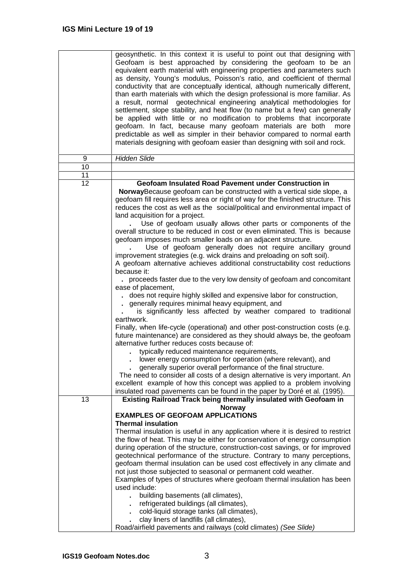|         | geosynthetic. In this context it is useful to point out that designing with<br>Geofoam is best approached by considering the geofoam to be an<br>equivalent earth material with engineering properties and parameters such<br>as density, Young's modulus, Poisson's ratio, and coefficient of thermal<br>conductivity that are conceptually identical, although numerically different,<br>than earth materials with which the design professional is more familiar. As<br>geotechnical engineering analytical methodologies for<br>a result, normal<br>settlement, slope stability, and heat flow (to name but a few) can generally<br>be applied with little or no modification to problems that incorporate<br>geofoam. In fact, because many geofoam materials are both<br>more<br>predictable as well as simpler in their behavior compared to normal earth<br>materials designing with geofoam easier than designing with soil and rock.                                                                                                                                                                                                                                                                                                                                                                                                                                                                                                       |
|---------|------------------------------------------------------------------------------------------------------------------------------------------------------------------------------------------------------------------------------------------------------------------------------------------------------------------------------------------------------------------------------------------------------------------------------------------------------------------------------------------------------------------------------------------------------------------------------------------------------------------------------------------------------------------------------------------------------------------------------------------------------------------------------------------------------------------------------------------------------------------------------------------------------------------------------------------------------------------------------------------------------------------------------------------------------------------------------------------------------------------------------------------------------------------------------------------------------------------------------------------------------------------------------------------------------------------------------------------------------------------------------------------------------------------------------------------------------|
| 9<br>10 | <b>Hidden Slide</b>                                                                                                                                                                                                                                                                                                                                                                                                                                                                                                                                                                                                                                                                                                                                                                                                                                                                                                                                                                                                                                                                                                                                                                                                                                                                                                                                                                                                                                  |
| 11      |                                                                                                                                                                                                                                                                                                                                                                                                                                                                                                                                                                                                                                                                                                                                                                                                                                                                                                                                                                                                                                                                                                                                                                                                                                                                                                                                                                                                                                                      |
| 12      | <b>Geofoam Insulated Road Pavement under Construction in</b><br>NorwayBecause geofoam can be constructed with a vertical side slope, a<br>geofoam fill requires less area or right of way for the finished structure. This<br>reduces the cost as well as the social/political and environmental impact of<br>land acquisition for a project.<br>Use of geofoam usually allows other parts or components of the<br>overall structure to be reduced in cost or even eliminated. This is because<br>geofoam imposes much smaller loads on an adjacent structure.<br>Use of geofoam generally does not require ancillary ground<br>improvement strategies (e.g. wick drains and preloading on soft soil).<br>A geofoam alternative achieves additional constructability cost reductions<br>because it:<br>proceeds faster due to the very low density of geofoam and concomitant<br>ease of placement,<br>. does not require highly skilled and expensive labor for construction,<br>. generally requires minimal heavy equipment, and<br>is significantly less affected by weather compared to traditional<br>earthwork.<br>Finally, when life-cycle (operational) and other post-construction costs (e.g.<br>future maintenance) are considered as they should always be, the geofoam<br>alternative further reduces costs because of:<br>typically reduced maintenance requirements,<br>lower energy consumption for operation (where relevant), and |
|         | generally superior overall performance of the final structure.<br>The need to consider all costs of a design alternative is very important. An<br>excellent example of how this concept was applied to a problem involving                                                                                                                                                                                                                                                                                                                                                                                                                                                                                                                                                                                                                                                                                                                                                                                                                                                                                                                                                                                                                                                                                                                                                                                                                           |
|         | insulated road pavements can be found in the paper by Doré et al. (1995).                                                                                                                                                                                                                                                                                                                                                                                                                                                                                                                                                                                                                                                                                                                                                                                                                                                                                                                                                                                                                                                                                                                                                                                                                                                                                                                                                                            |
| 13      | Existing Railroad Track being thermally insulated with Geofoam in<br><b>Norway</b><br><b>EXAMPLES OF GEOFOAM APPLICATIONS</b><br><b>Thermal insulation</b>                                                                                                                                                                                                                                                                                                                                                                                                                                                                                                                                                                                                                                                                                                                                                                                                                                                                                                                                                                                                                                                                                                                                                                                                                                                                                           |
|         | Thermal insulation is useful in any application where it is desired to restrict<br>the flow of heat. This may be either for conservation of energy consumption<br>during operation of the structure, construction-cost savings, or for improved<br>geotechnical performance of the structure. Contrary to many perceptions,<br>geofoam thermal insulation can be used cost effectively in any climate and<br>not just those subjected to seasonal or permanent cold weather.<br>Examples of types of structures where geofoam thermal insulation has been<br>used include:<br>building basements (all climates),<br>refrigerated buildings (all climates),                                                                                                                                                                                                                                                                                                                                                                                                                                                                                                                                                                                                                                                                                                                                                                                           |
|         | cold-liquid storage tanks (all climates),<br>clay liners of landfills (all climates),<br>Road/airfield pavements and railways (cold climates) (See Slide)                                                                                                                                                                                                                                                                                                                                                                                                                                                                                                                                                                                                                                                                                                                                                                                                                                                                                                                                                                                                                                                                                                                                                                                                                                                                                            |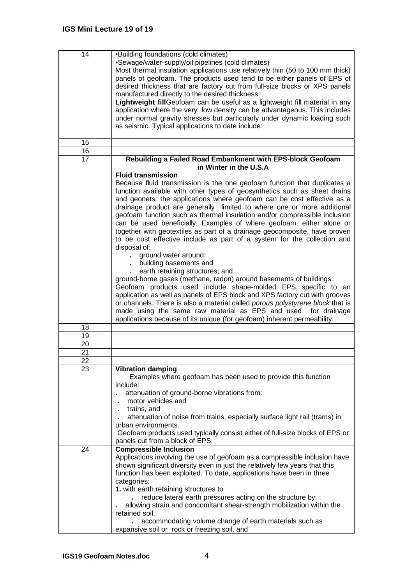| 14              | •Building foundations (cold climates)<br>•Sewage/water-supply/oil pipelines (cold climates)<br>Most thermal insulation applications use relatively thin (50 to 100 mm thick)<br>panels of geofoam. The products used tend to be either panels of EPS of<br>desired thickness that are factory cut from full-size blocks or XPS panels<br>manufactured directly to the desired thickness.<br>Lightweight fillGeofoam can be useful as a lightweight fill material in any<br>application where the very low density can be advantageous. This includes<br>under normal gravity stresses but particularly under dynamic loading such<br>as seismic. Typical applications to date include:                                                                                                                                                                                                                                                                                                                                                                                                                                                                                                                        |
|-----------------|---------------------------------------------------------------------------------------------------------------------------------------------------------------------------------------------------------------------------------------------------------------------------------------------------------------------------------------------------------------------------------------------------------------------------------------------------------------------------------------------------------------------------------------------------------------------------------------------------------------------------------------------------------------------------------------------------------------------------------------------------------------------------------------------------------------------------------------------------------------------------------------------------------------------------------------------------------------------------------------------------------------------------------------------------------------------------------------------------------------------------------------------------------------------------------------------------------------|
| 15              |                                                                                                                                                                                                                                                                                                                                                                                                                                                                                                                                                                                                                                                                                                                                                                                                                                                                                                                                                                                                                                                                                                                                                                                                               |
| 16              |                                                                                                                                                                                                                                                                                                                                                                                                                                                                                                                                                                                                                                                                                                                                                                                                                                                                                                                                                                                                                                                                                                                                                                                                               |
| 17              | Rebuilding a Failed Road Embankment with EPS-block Geofoam<br>in Winter in the U.S.A                                                                                                                                                                                                                                                                                                                                                                                                                                                                                                                                                                                                                                                                                                                                                                                                                                                                                                                                                                                                                                                                                                                          |
|                 | <b>Fluid transmission</b><br>Because fluid transmission is the one geofoam function that duplicates a<br>function available with other types of geosynthetics such as sheet drains<br>and geonets, the applications where geofoam can be cost effective as a<br>drainage product are generally limited to where one or more additional<br>geofoam function such as thermal insulation and/or compressible inclusion<br>can be used beneficially. Examples of where geofoam, either alone or<br>together with geotextiles as part of a drainage geocomposite, have proven<br>to be cost effective include as part of a system for the collection and<br>disposal of:<br>. ground water around:<br>building basements and<br>earth retaining structures; and<br>ground-borne gases (methane, radon) around basements of buildings.<br>Geofoam products used include shape-molded EPS specific to an<br>application as well as panels of EPS block and XPS factory cut with grooves<br>or channels. There is also a material called porous polystyrene block that is<br>made using the same raw material as EPS and used for drainage<br>applications because of its unique (for geofoam) inherent permeability. |
| 18              |                                                                                                                                                                                                                                                                                                                                                                                                                                                                                                                                                                                                                                                                                                                                                                                                                                                                                                                                                                                                                                                                                                                                                                                                               |
| 19              |                                                                                                                                                                                                                                                                                                                                                                                                                                                                                                                                                                                                                                                                                                                                                                                                                                                                                                                                                                                                                                                                                                                                                                                                               |
| 20              |                                                                                                                                                                                                                                                                                                                                                                                                                                                                                                                                                                                                                                                                                                                                                                                                                                                                                                                                                                                                                                                                                                                                                                                                               |
| 21              |                                                                                                                                                                                                                                                                                                                                                                                                                                                                                                                                                                                                                                                                                                                                                                                                                                                                                                                                                                                                                                                                                                                                                                                                               |
| $\overline{22}$ |                                                                                                                                                                                                                                                                                                                                                                                                                                                                                                                                                                                                                                                                                                                                                                                                                                                                                                                                                                                                                                                                                                                                                                                                               |
| 23              | <b>Vibration damping</b><br>Examples where geofoam has been used to provide this function<br>include:<br>attenuation of ground-borne vibrations from:<br>motor vehicles and<br>trains, and<br>attenuation of noise from trains, especially surface light rail (trams) in<br>urban environments.<br>Geofoam products used typically consist either of full-size blocks of EPS or<br>panels cut from a block of EPS.                                                                                                                                                                                                                                                                                                                                                                                                                                                                                                                                                                                                                                                                                                                                                                                            |
| 24              | <b>Compressible Inclusion</b><br>Applications involving the use of geofoam as a compressible inclusion have<br>shown significant diversity even in just the relatively few years that this<br>function has been exploited. To date, applications have been in three<br>categories:<br>1. with earth retaining structures to<br>reduce lateral earth pressures acting on the structure by:<br>allowing strain and concomitant shear-strength mobilization within the<br>retained soil,<br>accommodating volume change of earth materials such as<br>expansive soil or rock or freezing soil, and                                                                                                                                                                                                                                                                                                                                                                                                                                                                                                                                                                                                               |